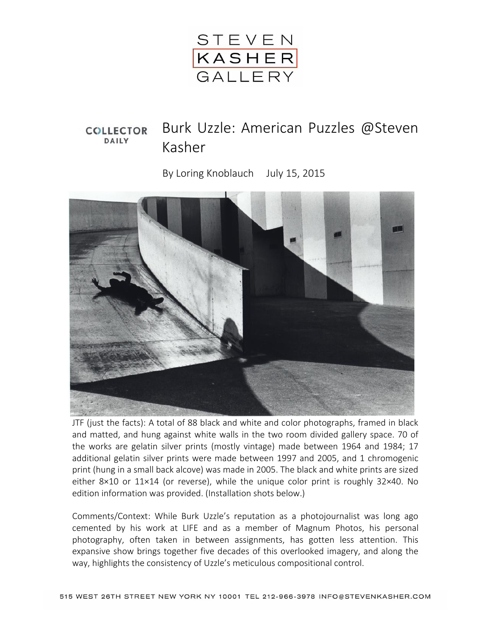

## Burk Uzzle: American Puzzles @Steven **COLLECTOR** DAILY Kasher

By Loring Knoblauch July 15, 2015



JTF (just the facts): A total of 88 black and white and color photographs, framed in black and matted, and hung against white walls in the two room divided gallery space. 70 of the works are gelatin silver prints (mostly vintage) made between 1964 and 1984; 17 additional gelatin silver prints were made between 1997 and 2005, and 1 chromogenic print (hung in a small back alcove) was made in 2005. The black and white prints are sized either 8×10 or 11×14 (or reverse), while the unique color print is roughly 32×40. No edition information was provided. (Installation shots below.)

Comments/Context: While Burk Uzzle's reputation as a photojournalist was long ago cemented by his work at LIFE and as a member of Magnum Photos, his personal photography, often taken in between assignments, has gotten less attention. This expansive show brings together five decades of this overlooked imagery, and along the way, highlights the consistency of Uzzle's meticulous compositional control.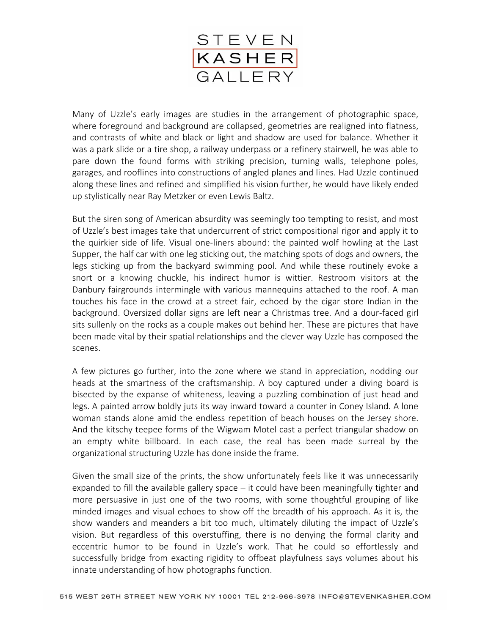

Many of Uzzle's early images are studies in the arrangement of photographic space, where foreground and background are collapsed, geometries are realigned into flatness, and contrasts of white and black or light and shadow are used for balance. Whether it was a park slide or a tire shop, a railway underpass or a refinery stairwell, he was able to pare down the found forms with striking precision, turning walls, telephone poles, garages, and rooflines into constructions of angled planes and lines. Had Uzzle continued along these lines and refined and simplified his vision further, he would have likely ended up stylistically near Ray Metzker or even Lewis Baltz.

But the siren song of American absurdity was seemingly too tempting to resist, and most of Uzzle's best images take that undercurrent of strict compositional rigor and apply it to the quirkier side of life. Visual one-liners abound: the painted wolf howling at the Last Supper, the half car with one leg sticking out, the matching spots of dogs and owners, the legs sticking up from the backyard swimming pool. And while these routinely evoke a snort or a knowing chuckle, his indirect humor is wittier. Restroom visitors at the Danbury fairgrounds intermingle with various mannequins attached to the roof. A man touches his face in the crowd at a street fair, echoed by the cigar store Indian in the background. Oversized dollar signs are left near a Christmas tree. And a dour-faced girl sits sullenly on the rocks as a couple makes out behind her. These are pictures that have been made vital by their spatial relationships and the clever way Uzzle has composed the scenes.

A few pictures go further, into the zone where we stand in appreciation, nodding our heads at the smartness of the craftsmanship. A boy captured under a diving board is bisected by the expanse of whiteness, leaving a puzzling combination of just head and legs. A painted arrow boldly juts its way inward toward a counter in Coney Island. A lone woman stands alone amid the endless repetition of beach houses on the Jersey shore. And the kitschy teepee forms of the Wigwam Motel cast a perfect triangular shadow on an empty white billboard. In each case, the real has been made surreal by the organizational structuring Uzzle has done inside the frame.

Given the small size of the prints, the show unfortunately feels like it was unnecessarily expanded to fill the available gallery space – it could have been meaningfully tighter and more persuasive in just one of the two rooms, with some thoughtful grouping of like minded images and visual echoes to show off the breadth of his approach. As it is, the show wanders and meanders a bit too much, ultimately diluting the impact of Uzzle's vision. But regardless of this overstuffing, there is no denying the formal clarity and eccentric humor to be found in Uzzle's work. That he could so effortlessly and successfully bridge from exacting rigidity to offbeat playfulness says volumes about his innate understanding of how photographs function.